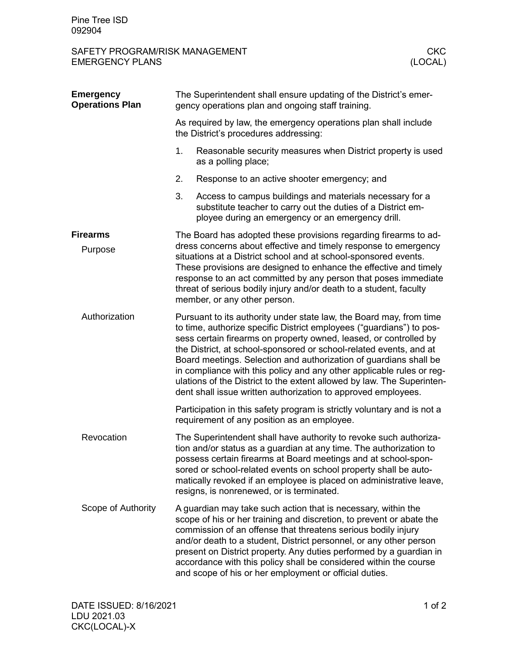## SAFETY PROGRAM/RISK MANAGEMENT CKC **EMERGENCY PLANS**

| <b>Emergency</b><br><b>Operations Plan</b> | The Superintendent shall ensure updating of the District's emer-<br>gency operations plan and ongoing staff training.                                                                                                                                                                                                                                                                                                                                                                                                                                                           |                                                                                                                                                                                                                                                                                                                                                                                                                                                                                    |  |
|--------------------------------------------|---------------------------------------------------------------------------------------------------------------------------------------------------------------------------------------------------------------------------------------------------------------------------------------------------------------------------------------------------------------------------------------------------------------------------------------------------------------------------------------------------------------------------------------------------------------------------------|------------------------------------------------------------------------------------------------------------------------------------------------------------------------------------------------------------------------------------------------------------------------------------------------------------------------------------------------------------------------------------------------------------------------------------------------------------------------------------|--|
|                                            | As required by law, the emergency operations plan shall include<br>the District's procedures addressing:                                                                                                                                                                                                                                                                                                                                                                                                                                                                        |                                                                                                                                                                                                                                                                                                                                                                                                                                                                                    |  |
|                                            | 1.                                                                                                                                                                                                                                                                                                                                                                                                                                                                                                                                                                              | Reasonable security measures when District property is used<br>as a polling place;                                                                                                                                                                                                                                                                                                                                                                                                 |  |
|                                            | 2.                                                                                                                                                                                                                                                                                                                                                                                                                                                                                                                                                                              | Response to an active shooter emergency; and                                                                                                                                                                                                                                                                                                                                                                                                                                       |  |
|                                            | 3.                                                                                                                                                                                                                                                                                                                                                                                                                                                                                                                                                                              | Access to campus buildings and materials necessary for a<br>substitute teacher to carry out the duties of a District em-<br>ployee during an emergency or an emergency drill.                                                                                                                                                                                                                                                                                                      |  |
| <b>Firearms</b>                            |                                                                                                                                                                                                                                                                                                                                                                                                                                                                                                                                                                                 | The Board has adopted these provisions regarding firearms to ad-                                                                                                                                                                                                                                                                                                                                                                                                                   |  |
| Purpose                                    | dress concerns about effective and timely response to emergency<br>situations at a District school and at school-sponsored events.<br>These provisions are designed to enhance the effective and timely<br>response to an act committed by any person that poses immediate<br>threat of serious bodily injury and/or death to a student, faculty<br>member, or any other person.                                                                                                                                                                                                |                                                                                                                                                                                                                                                                                                                                                                                                                                                                                    |  |
| Authorization                              | Pursuant to its authority under state law, the Board may, from time<br>to time, authorize specific District employees ("guardians") to pos-<br>sess certain firearms on property owned, leased, or controlled by<br>the District, at school-sponsored or school-related events, and at<br>Board meetings. Selection and authorization of guardians shall be<br>in compliance with this policy and any other applicable rules or reg-<br>ulations of the District to the extent allowed by law. The Superinten-<br>dent shall issue written authorization to approved employees. |                                                                                                                                                                                                                                                                                                                                                                                                                                                                                    |  |
|                                            | Participation in this safety program is strictly voluntary and is not a<br>requirement of any position as an employee.                                                                                                                                                                                                                                                                                                                                                                                                                                                          |                                                                                                                                                                                                                                                                                                                                                                                                                                                                                    |  |
| Revocation                                 |                                                                                                                                                                                                                                                                                                                                                                                                                                                                                                                                                                                 | The Superintendent shall have authority to revoke such authoriza-<br>tion and/or status as a guardian at any time. The authorization to<br>possess certain firearms at Board meetings and at school-spon-<br>sored or school-related events on school property shall be auto-<br>matically revoked if an employee is placed on administrative leave,<br>resigns, is nonrenewed, or is terminated.                                                                                  |  |
| Scope of Authority                         |                                                                                                                                                                                                                                                                                                                                                                                                                                                                                                                                                                                 | A guardian may take such action that is necessary, within the<br>scope of his or her training and discretion, to prevent or abate the<br>commission of an offense that threatens serious bodily injury<br>and/or death to a student, District personnel, or any other person<br>present on District property. Any duties performed by a guardian in<br>accordance with this policy shall be considered within the course<br>and scope of his or her employment or official duties. |  |